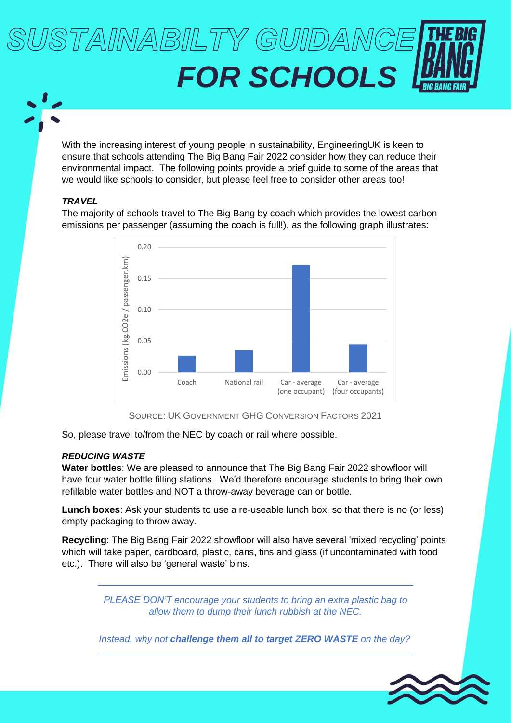# USTAINABILTY GUIDANC *FOR SCHOOLS*

With the increasing interest of young people in sustainability, EngineeringUK is keen to ensure that schools attending The Big Bang Fair 2022 consider how they can reduce their environmental impact. The following points provide a brief guide to some of the areas that we would like schools to consider, but please feel free to consider other areas too!

## *TRAVEL*

The majority of schools travel to The Big Bang by coach which provides the lowest carbon emissions per passenger (assuming the coach is full!), as the following graph illustrates:



SOURCE: UK GOVERNMENT GHG CONVERSION FACTORS 2021

So, please travel to/from the NEC by coach or rail where possible.

## *REDUCING WASTE*

**Water bottles**: We are pleased to announce that The Big Bang Fair 2022 showfloor will have four water bottle filling stations. We'd therefore encourage students to bring their own refillable water bottles and NOT a throw-away beverage can or bottle.

**Lunch boxes**: Ask your students to use a re-useable lunch box, so that there is no (or less) empty packaging to throw away.

**Recycling**: The Big Bang Fair 2022 showfloor will also have several 'mixed recycling' points which will take paper, cardboard, plastic, cans, tins and glass (if uncontaminated with food etc.). There will also be 'general waste' bins.

> *PLEASE DON'T encourage your students to bring an extra plastic bag to allow them to dump their lunch rubbish at the NEC.*

*Instead, why not challenge them all to target ZERO WASTE on the day?*